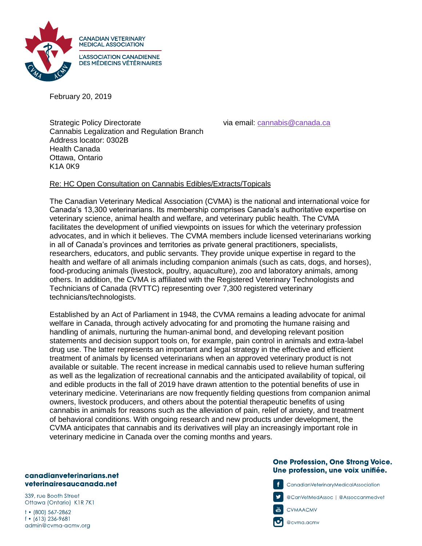

February 20, 2019

Strategic Policy Directorate via email: [cannabis@canada.ca](mailto:cannabis@canada.ca) Cannabis Legalization and Regulation Branch Address locator: 0302B Health Canada Ottawa, Ontario K1A 0K9

## Re: HC Open Consultation on Cannabis Edibles/Extracts/Topicals

The Canadian Veterinary Medical Association (CVMA) is the national and international voice for Canada's 13,300 veterinarians. Its membership comprises Canada's authoritative expertise on veterinary science, animal health and welfare, and veterinary public health. The CVMA facilitates the development of unified viewpoints on issues for which the veterinary profession advocates, and in which it believes. The CVMA members include licensed veterinarians working in all of Canada's provinces and territories as private general practitioners, specialists, researchers, educators, and public servants. They provide unique expertise in regard to the health and welfare of all animals including companion animals (such as cats, dogs, and horses), food-producing animals (livestock, poultry, aquaculture), zoo and laboratory animals, among others. In addition, the CVMA is affiliated with the Registered Veterinary Technologists and Technicians of Canada (RVTTC) representing over 7,300 registered veterinary technicians/technologists.

Established by an Act of Parliament in 1948, the CVMA remains a leading advocate for animal welfare in Canada, through actively advocating for and promoting the humane raising and handling of animals, nurturing the human-animal bond, and developing relevant position statements and decision support tools on, for example, pain control in animals and extra-label drug use. The latter represents an important and legal strategy in the effective and efficient treatment of animals by licensed veterinarians when an approved veterinary product is not available or suitable. The recent increase in medical cannabis used to relieve human suffering as well as the legalization of recreational cannabis and the anticipated availability of topical, oil and edible products in the fall of 2019 have drawn attention to the potential benefits of use in veterinary medicine. Veterinarians are now frequently fielding questions from companion animal owners, livestock producers, and others about the potential therapeutic benefits of using cannabis in animals for reasons such as the alleviation of pain, relief of anxiety, and treatment of behavioral conditions. With ongoing research and new products under development, the CVMA anticipates that cannabis and its derivatives will play an increasingly important role in veterinary medicine in Canada over the coming months and years.

## canadianveterinarians.net veterinairesaucanada.net

339, rue Booth Street Ottawa (Ontario) K1R 7K1

 $\dagger$  • (800) 567-2862  $f \cdot (613) 236 - 9681$ admin@cvma-acmv.org

## **One Profession, One Strong Voice.** Une profession, une voix unifiée.



CanadianVeterinaryMedicalAssociation

@CanVetMedAssoc | @Assoccanmedvet



@cvma.acmv